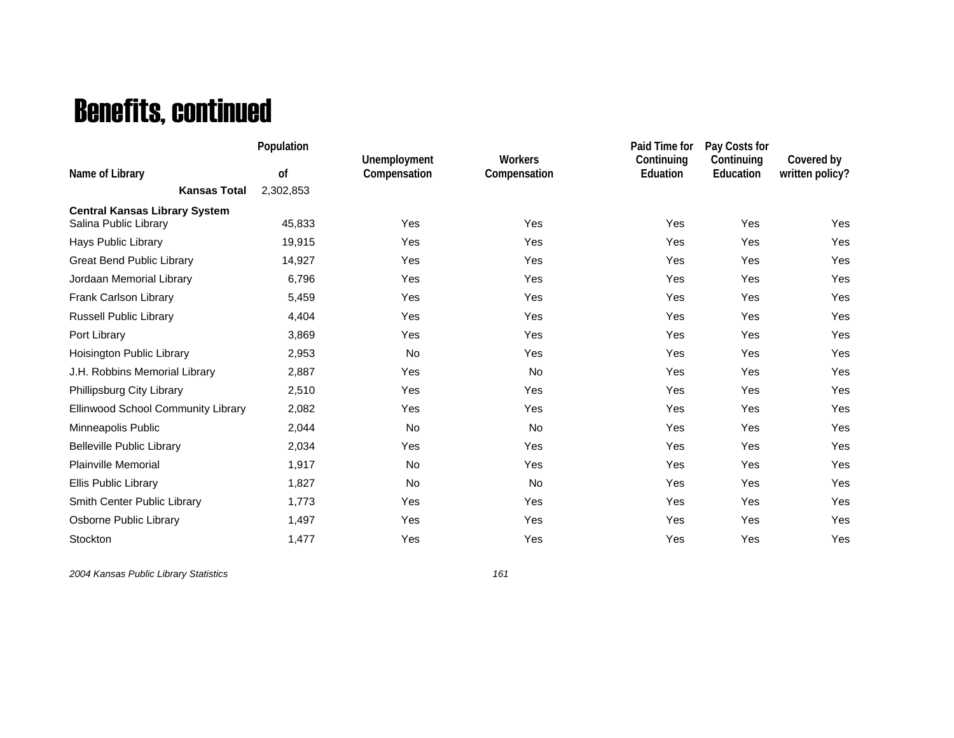## Benefits, continued

|                                      | Population |                                     |                                | Paid Time for          | Pay Costs for           |                               |
|--------------------------------------|------------|-------------------------------------|--------------------------------|------------------------|-------------------------|-------------------------------|
| Name of Library                      | of         | <b>Unemployment</b><br>Compensation | <b>Workers</b><br>Compensation | Continuing<br>Eduation | Continuing<br>Education | Covered by<br>written policy? |
| <b>Kansas Total</b>                  | 2,302,853  |                                     |                                |                        |                         |                               |
| <b>Central Kansas Library System</b> |            |                                     |                                |                        |                         |                               |
| Salina Public Library                | 45,833     | Yes                                 | Yes                            | Yes                    | Yes                     | Yes                           |
| Hays Public Library                  | 19,915     | Yes                                 | Yes                            | Yes                    | Yes                     | Yes                           |
| <b>Great Bend Public Library</b>     | 14,927     | Yes                                 | Yes                            | Yes                    | Yes                     | Yes                           |
| Jordaan Memorial Library             | 6,796      | Yes                                 | Yes                            | Yes                    | Yes                     | Yes                           |
| Frank Carlson Library                | 5,459      | Yes                                 | Yes                            | Yes                    | Yes                     | Yes                           |
| <b>Russell Public Library</b>        | 4,404      | Yes                                 | Yes                            | Yes                    | Yes                     | Yes                           |
| Port Library                         | 3,869      | Yes                                 | Yes                            | Yes                    | Yes                     | Yes                           |
| Hoisington Public Library            | 2,953      | No                                  | Yes                            | Yes                    | Yes                     | Yes                           |
| J.H. Robbins Memorial Library        | 2,887      | Yes                                 | <b>No</b>                      | Yes                    | Yes                     | Yes                           |
| Phillipsburg City Library            | 2,510      | Yes                                 | Yes                            | Yes                    | Yes                     | Yes                           |
| Ellinwood School Community Library   | 2,082      | Yes                                 | Yes                            | Yes                    | Yes                     | Yes                           |
| Minneapolis Public                   | 2,044      | <b>No</b>                           | <b>No</b>                      | Yes                    | Yes                     | Yes                           |
| <b>Belleville Public Library</b>     | 2,034      | Yes                                 | Yes                            | Yes                    | Yes                     | Yes                           |
| <b>Plainville Memorial</b>           | 1,917      | No                                  | Yes                            | Yes                    | Yes                     | Yes                           |
| Ellis Public Library                 | 1,827      | <b>No</b>                           | <b>No</b>                      | Yes                    | Yes                     | Yes                           |
| Smith Center Public Library          | 1,773      | Yes                                 | Yes                            | Yes                    | Yes                     | Yes                           |
| Osborne Public Library               | 1,497      | Yes                                 | Yes                            | Yes                    | Yes                     | Yes                           |
| Stockton                             | 1,477      | Yes                                 | Yes                            | Yes                    | Yes                     | Yes                           |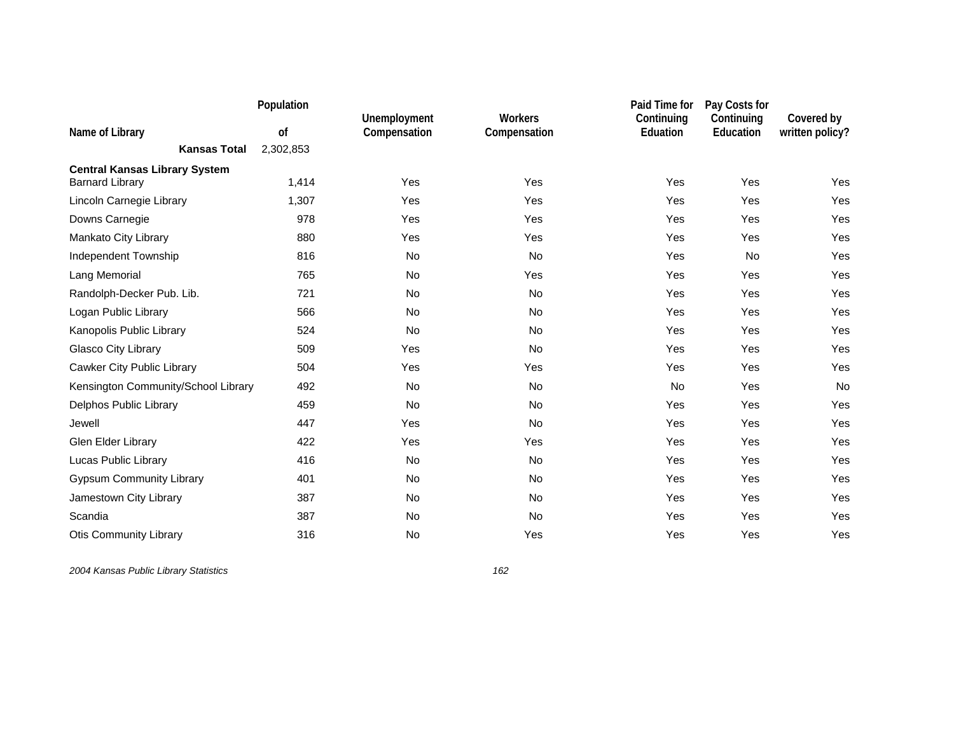|                                      | Population |                              |                         | Paid Time for          | Pay Costs for           |                               |
|--------------------------------------|------------|------------------------------|-------------------------|------------------------|-------------------------|-------------------------------|
| Name of Library                      | of         | Unemployment<br>Compensation | Workers<br>Compensation | Continuing<br>Eduation | Continuing<br>Education | Covered by<br>written policy? |
| <b>Kansas Total</b>                  | 2,302,853  |                              |                         |                        |                         |                               |
| <b>Central Kansas Library System</b> |            |                              |                         |                        |                         |                               |
| <b>Barnard Library</b>               | 1,414      | Yes                          | Yes                     | Yes                    | Yes                     | Yes                           |
| Lincoln Carnegie Library             | 1,307      | Yes                          | Yes                     | Yes                    | Yes                     | Yes                           |
| Downs Carnegie                       | 978        | Yes                          | Yes                     | Yes                    | Yes                     | Yes                           |
| Mankato City Library                 | 880        | Yes                          | Yes                     | Yes                    | Yes                     | Yes                           |
| Independent Township                 | 816        | No                           | No                      | Yes                    | No                      | Yes                           |
| Lang Memorial                        | 765        | No                           | Yes                     | Yes                    | Yes                     | Yes                           |
| Randolph-Decker Pub. Lib.            | 721        | <b>No</b>                    | <b>No</b>               | Yes                    | Yes                     | Yes                           |
| Logan Public Library                 | 566        | No                           | No                      | Yes                    | Yes                     | Yes                           |
| Kanopolis Public Library             | 524        | No                           | No                      | Yes                    | Yes                     | Yes                           |
| Glasco City Library                  | 509        | Yes                          | No                      | Yes                    | Yes                     | Yes                           |
| Cawker City Public Library           | 504        | Yes                          | Yes                     | Yes                    | Yes                     | Yes                           |
| Kensington Community/School Library  | 492        | No                           | <b>No</b>               | No                     | Yes                     | No                            |
| Delphos Public Library               | 459        | <b>No</b>                    | <b>No</b>               | Yes                    | Yes                     | Yes                           |
| Jewell                               | 447        | Yes                          | No                      | Yes                    | Yes                     | Yes                           |
| Glen Elder Library                   | 422        | Yes                          | Yes                     | Yes                    | Yes                     | Yes                           |
| Lucas Public Library                 | 416        | No                           | No                      | Yes                    | Yes                     | Yes                           |
| <b>Gypsum Community Library</b>      | 401        | No                           | No                      | Yes                    | Yes                     | Yes                           |
| Jamestown City Library               | 387        | No                           | No                      | Yes                    | Yes                     | Yes                           |
| Scandia                              | 387        | No                           | No                      | Yes                    | Yes                     | Yes                           |
| <b>Otis Community Library</b>        | 316        | No                           | Yes                     | Yes                    | Yes                     | Yes                           |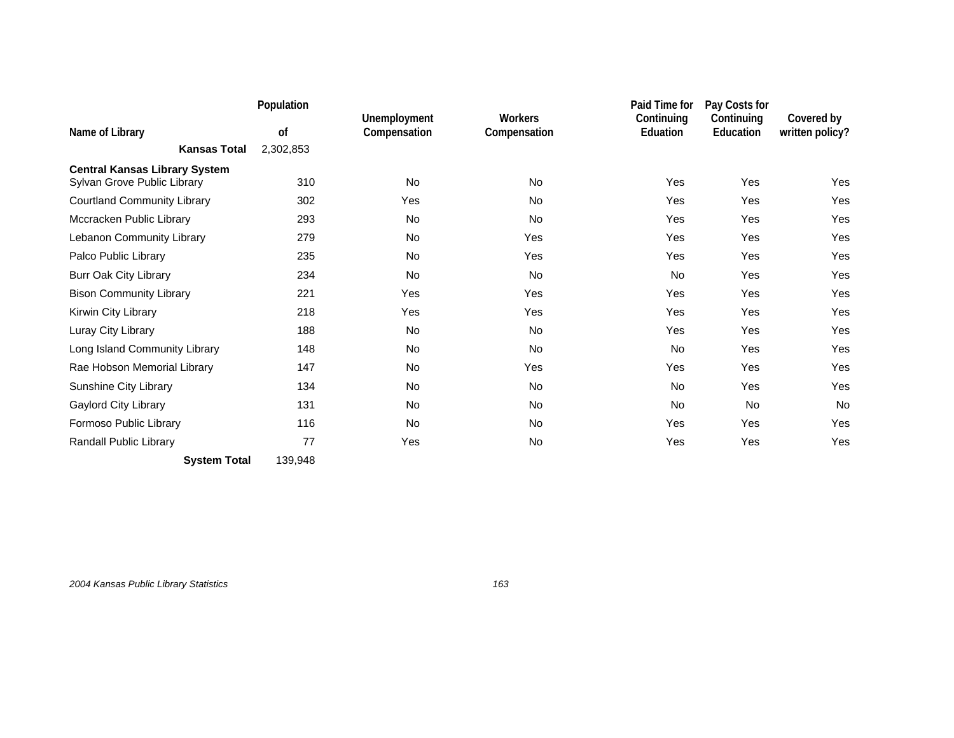|                                      | Population |                              |                         | Paid Time for          | Pay Costs for           |                               |
|--------------------------------------|------------|------------------------------|-------------------------|------------------------|-------------------------|-------------------------------|
| Name of Library                      | of         | Unemployment<br>Compensation | Workers<br>Compensation | Continuing<br>Eduation | Continuing<br>Education | Covered by<br>written policy? |
| <b>Kansas Total</b>                  | 2,302,853  |                              |                         |                        |                         |                               |
| <b>Central Kansas Library System</b> |            |                              |                         |                        |                         |                               |
| Sylvan Grove Public Library          | 310        | <b>No</b>                    | <b>No</b>               | Yes                    | Yes                     | Yes                           |
| <b>Courtland Community Library</b>   | 302        | Yes                          | <b>No</b>               | Yes                    | Yes                     | Yes                           |
| Mccracken Public Library             | 293        | <b>No</b>                    | <b>No</b>               | Yes                    | Yes                     | Yes                           |
| Lebanon Community Library            | 279        | <b>No</b>                    | Yes                     | Yes                    | Yes                     | Yes                           |
| Palco Public Library                 | 235        | <b>No</b>                    | Yes                     | Yes                    | Yes                     | Yes                           |
| <b>Burr Oak City Library</b>         | 234        | <b>No</b>                    | No                      | No                     | Yes                     | Yes                           |
| <b>Bison Community Library</b>       | 221        | Yes                          | Yes                     | Yes                    | Yes                     | Yes                           |
| Kirwin City Library                  | 218        | Yes                          | Yes                     | Yes                    | Yes                     | Yes                           |
| Luray City Library                   | 188        | No                           | <b>No</b>               | Yes                    | Yes                     | Yes                           |
| Long Island Community Library        | 148        | <b>No</b>                    | No                      | No                     | Yes                     | Yes                           |
| Rae Hobson Memorial Library          | 147        | <b>No</b>                    | Yes                     | Yes                    | Yes                     | Yes                           |
| Sunshine City Library                | 134        | <b>No</b>                    | <b>No</b>               | <b>No</b>              | Yes                     | Yes                           |
| Gaylord City Library                 | 131        | No                           | <b>No</b>               | No                     | <b>No</b>               | <b>No</b>                     |
| Formoso Public Library               | 116        | <b>No</b>                    | <b>No</b>               | Yes                    | Yes                     | <b>Yes</b>                    |
| Randall Public Library               | 77         | Yes                          | No                      | Yes                    | Yes                     | Yes                           |
| <b>System Total</b>                  | 139,948    |                              |                         |                        |                         |                               |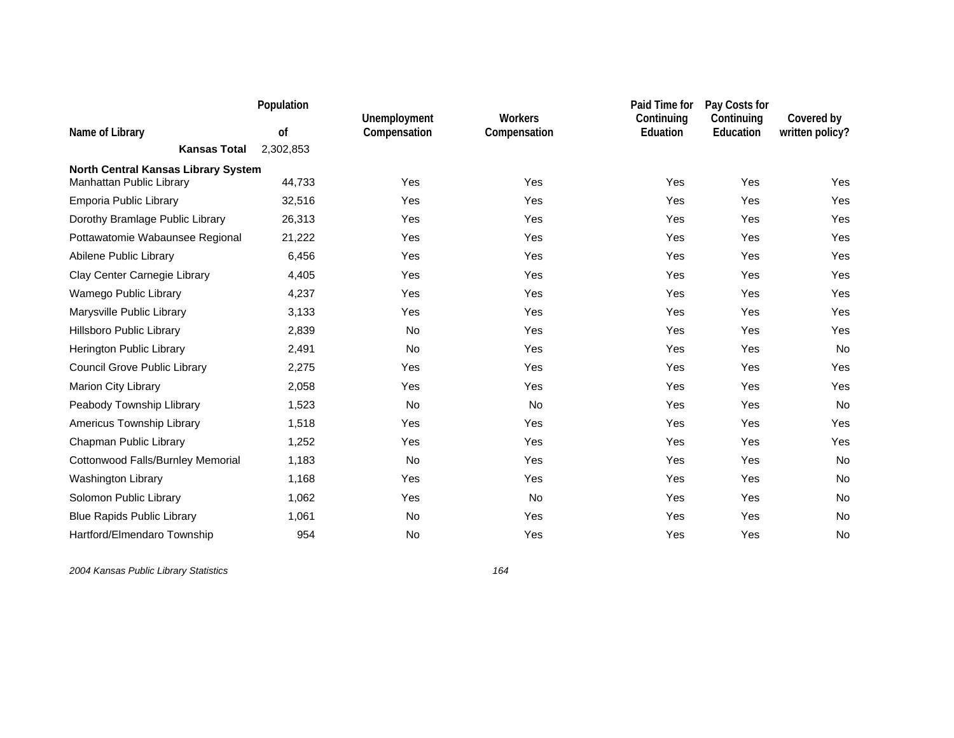|                                            | Population |                              |                                | Paid Time for          | Pay Costs for           |                               |
|--------------------------------------------|------------|------------------------------|--------------------------------|------------------------|-------------------------|-------------------------------|
| Name of Library                            | of         | Unemployment<br>Compensation | <b>Workers</b><br>Compensation | Continuing<br>Eduation | Continuing<br>Education | Covered by<br>written policy? |
| <b>Kansas Total</b>                        | 2,302,853  |                              |                                |                        |                         |                               |
| <b>North Central Kansas Library System</b> |            |                              |                                |                        |                         |                               |
| Manhattan Public Library                   | 44,733     | Yes                          | Yes                            | Yes                    | Yes                     | Yes                           |
| Emporia Public Library                     | 32,516     | Yes                          | Yes                            | Yes                    | Yes                     | Yes                           |
| Dorothy Bramlage Public Library            | 26,313     | Yes                          | Yes                            | Yes                    | Yes                     | Yes                           |
| Pottawatomie Wabaunsee Regional            | 21,222     | Yes                          | Yes                            | Yes                    | Yes                     | Yes                           |
| Abilene Public Library                     | 6,456      | Yes                          | Yes                            | Yes                    | Yes                     | Yes                           |
| Clay Center Carnegie Library               | 4,405      | Yes                          | Yes                            | Yes                    | Yes                     | Yes                           |
| Wamego Public Library                      | 4,237      | Yes                          | Yes                            | Yes                    | Yes                     | Yes                           |
| Marysville Public Library                  | 3,133      | Yes                          | Yes                            | Yes                    | Yes                     | Yes                           |
| Hillsboro Public Library                   | 2,839      | No                           | Yes                            | Yes                    | Yes                     | Yes                           |
| Herington Public Library                   | 2,491      | <b>No</b>                    | Yes                            | Yes                    | Yes                     | No                            |
| Council Grove Public Library               | 2,275      | Yes                          | Yes                            | Yes                    | Yes                     | Yes                           |
| Marion City Library                        | 2,058      | Yes                          | Yes                            | Yes                    | Yes                     | Yes                           |
| Peabody Township Llibrary                  | 1,523      | No                           | No                             | Yes                    | Yes                     | No                            |
| Americus Township Library                  | 1,518      | Yes                          | Yes                            | Yes                    | Yes                     | Yes                           |
| Chapman Public Library                     | 1,252      | Yes                          | Yes                            | Yes                    | Yes                     | Yes                           |
| Cottonwood Falls/Burnley Memorial          | 1,183      | <b>No</b>                    | Yes                            | Yes                    | Yes                     | <b>No</b>                     |
| <b>Washington Library</b>                  | 1,168      | Yes                          | Yes                            | Yes                    | Yes                     | No                            |
| Solomon Public Library                     | 1,062      | Yes                          | No                             | Yes                    | Yes                     | No                            |
| <b>Blue Rapids Public Library</b>          | 1,061      | No                           | Yes                            | Yes                    | Yes                     | No                            |
| Hartford/Elmendaro Township                | 954        | No                           | Yes                            | Yes                    | Yes                     | No                            |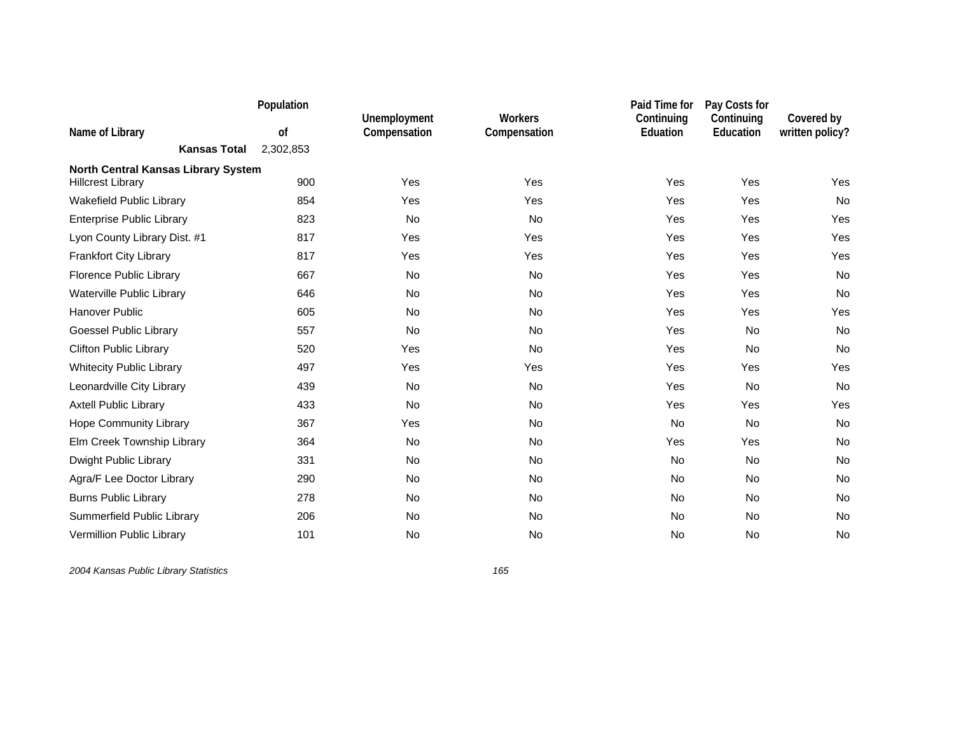|                                            | Population |                              |                                | Paid Time for          | Pay Costs for           |                               |
|--------------------------------------------|------------|------------------------------|--------------------------------|------------------------|-------------------------|-------------------------------|
| Name of Library                            | of         | Unemployment<br>Compensation | <b>Workers</b><br>Compensation | Continuing<br>Eduation | Continuing<br>Education | Covered by<br>written policy? |
| <b>Kansas Total</b>                        | 2,302,853  |                              |                                |                        |                         |                               |
| <b>North Central Kansas Library System</b> |            |                              |                                |                        |                         |                               |
| <b>Hillcrest Library</b>                   | 900        | Yes                          | Yes                            | Yes                    | Yes                     | Yes                           |
| Wakefield Public Library                   | 854        | Yes                          | Yes                            | Yes                    | Yes                     | No                            |
| <b>Enterprise Public Library</b>           | 823        | <b>No</b>                    | <b>No</b>                      | Yes                    | Yes                     | Yes                           |
| Lyon County Library Dist. #1               | 817        | Yes                          | Yes                            | Yes                    | Yes                     | Yes                           |
| <b>Frankfort City Library</b>              | 817        | Yes                          | Yes                            | Yes                    | Yes                     | Yes                           |
| Florence Public Library                    | 667        | No                           | No                             | Yes                    | Yes                     | No                            |
| Waterville Public Library                  | 646        | <b>No</b>                    | No                             | Yes                    | Yes                     | No                            |
| Hanover Public                             | 605        | No                           | No                             | Yes                    | Yes                     | Yes                           |
| Goessel Public Library                     | 557        | No                           | No                             | Yes                    | <b>No</b>               | No                            |
| <b>Clifton Public Library</b>              | 520        | Yes                          | No                             | Yes                    | <b>No</b>               | No                            |
| <b>Whitecity Public Library</b>            | 497        | Yes                          | Yes                            | Yes                    | Yes                     | Yes                           |
| Leonardville City Library                  | 439        | No                           | No                             | Yes                    | No                      | No                            |
| <b>Axtell Public Library</b>               | 433        | No                           | No                             | Yes                    | Yes                     | Yes                           |
| Hope Community Library                     | 367        | Yes                          | No                             | No                     | No                      | No                            |
| Elm Creek Township Library                 | 364        | No                           | No                             | Yes                    | Yes                     | No                            |
| Dwight Public Library                      | 331        | No                           | <b>No</b>                      | No                     | <b>No</b>               | <b>No</b>                     |
| Agra/F Lee Doctor Library                  | 290        | No                           | No                             | No                     | No                      | No                            |
| <b>Burns Public Library</b>                | 278        | No                           | No                             | No                     | <b>No</b>               | No                            |
| Summerfield Public Library                 | 206        | No                           | No                             | <b>No</b>              | No                      | No                            |
| Vermillion Public Library                  | 101        | No                           | No                             | <b>No</b>              | <b>No</b>               | No                            |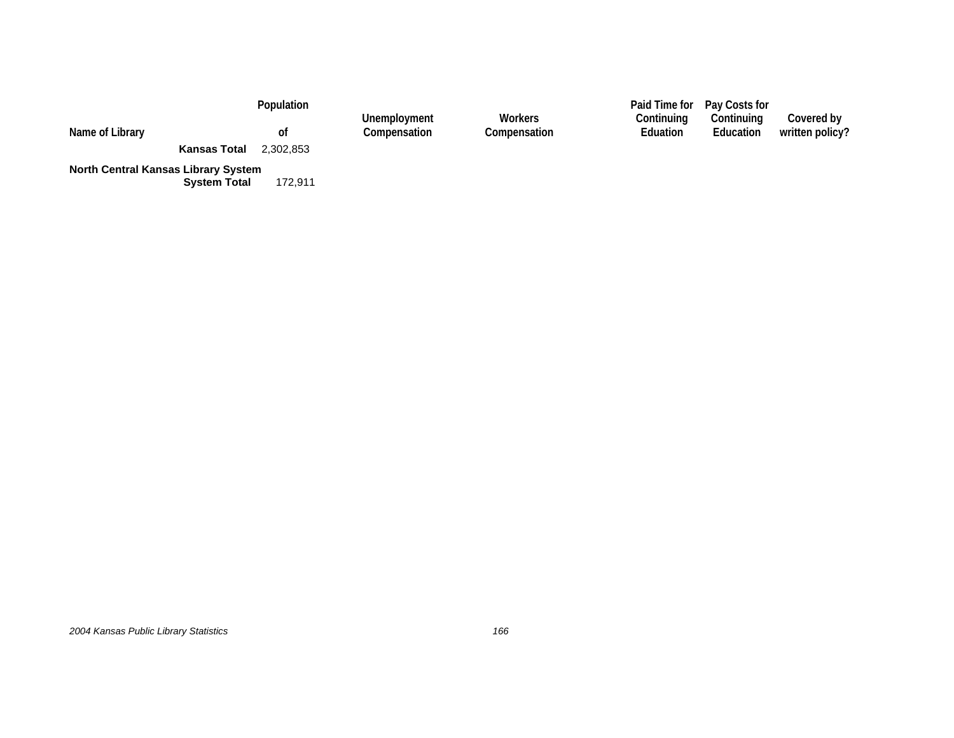|                                            |                     | Population | Unemployment | <b>Workers</b> | Continuing | Paid Time for Pay Costs for<br>Continuing | Covered by      |
|--------------------------------------------|---------------------|------------|--------------|----------------|------------|-------------------------------------------|-----------------|
| Name of Library                            |                     | Οt         | Compensation | Compensation   | Eduation   | Education                                 | written policy? |
|                                            | <b>Kansas Total</b> | 2.302.853  |              |                |            |                                           |                 |
| <b>North Central Kansas Library System</b> | <b>System Total</b> | 172.911    |              |                |            |                                           |                 |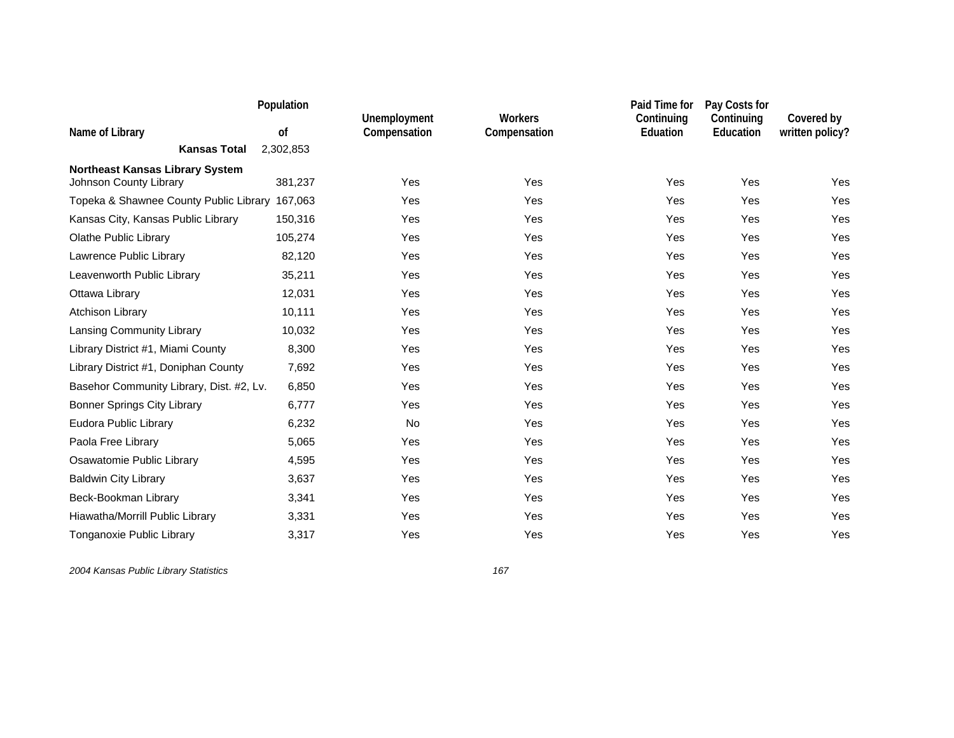|                                                | Population |                              |                                | Paid Time for                 | Pay Costs for           |                               |
|------------------------------------------------|------------|------------------------------|--------------------------------|-------------------------------|-------------------------|-------------------------------|
| Name of Library                                | of         | Unemployment<br>Compensation | <b>Workers</b><br>Compensation | Continuing<br><b>Eduation</b> | Continuing<br>Education | Covered by<br>written policy? |
| <b>Kansas Total</b>                            | 2,302,853  |                              |                                |                               |                         |                               |
| <b>Northeast Kansas Library System</b>         |            |                              |                                |                               |                         |                               |
| Johnson County Library                         | 381,237    | Yes                          | Yes                            | Yes                           | Yes                     | Yes                           |
| Topeka & Shawnee County Public Library 167,063 |            | Yes                          | Yes                            | Yes                           | Yes                     | Yes                           |
| Kansas City, Kansas Public Library             | 150,316    | Yes                          | Yes                            | Yes                           | Yes                     | Yes                           |
| <b>Olathe Public Library</b>                   | 105,274    | Yes                          | Yes                            | Yes                           | Yes                     | Yes                           |
| Lawrence Public Library                        | 82,120     | Yes                          | Yes                            | Yes                           | Yes                     | Yes                           |
| Leavenworth Public Library                     | 35,211     | Yes                          | Yes                            | Yes                           | Yes                     | Yes                           |
| Ottawa Library                                 | 12,031     | Yes                          | Yes                            | Yes                           | Yes                     | Yes                           |
| Atchison Library                               | 10,111     | Yes                          | Yes                            | Yes                           | Yes                     | Yes                           |
| Lansing Community Library                      | 10,032     | Yes                          | Yes                            | Yes                           | Yes                     | Yes                           |
| Library District #1, Miami County              | 8,300      | Yes                          | Yes                            | Yes                           | Yes                     | Yes                           |
| Library District #1, Doniphan County           | 7,692      | Yes                          | Yes                            | Yes                           | Yes                     | Yes                           |
| Basehor Community Library, Dist. #2, Lv.       | 6,850      | Yes                          | Yes                            | Yes                           | Yes                     | Yes                           |
| <b>Bonner Springs City Library</b>             | 6,777      | Yes                          | Yes                            | Yes                           | Yes                     | Yes                           |
| Eudora Public Library                          | 6,232      | <b>No</b>                    | Yes                            | Yes                           | Yes                     | Yes                           |
| Paola Free Library                             | 5,065      | Yes                          | Yes                            | Yes                           | Yes                     | Yes                           |
| Osawatomie Public Library                      | 4,595      | Yes                          | Yes                            | Yes                           | Yes                     | Yes                           |
| <b>Baldwin City Library</b>                    | 3,637      | Yes                          | Yes                            | Yes                           | Yes                     | Yes                           |
| Beck-Bookman Library                           | 3,341      | Yes                          | Yes                            | Yes                           | Yes                     | Yes                           |
| Hiawatha/Morrill Public Library                | 3,331      | Yes                          | Yes                            | Yes                           | Yes                     | Yes                           |
| Tonganoxie Public Library                      | 3,317      | Yes                          | Yes                            | Yes                           | Yes                     | Yes                           |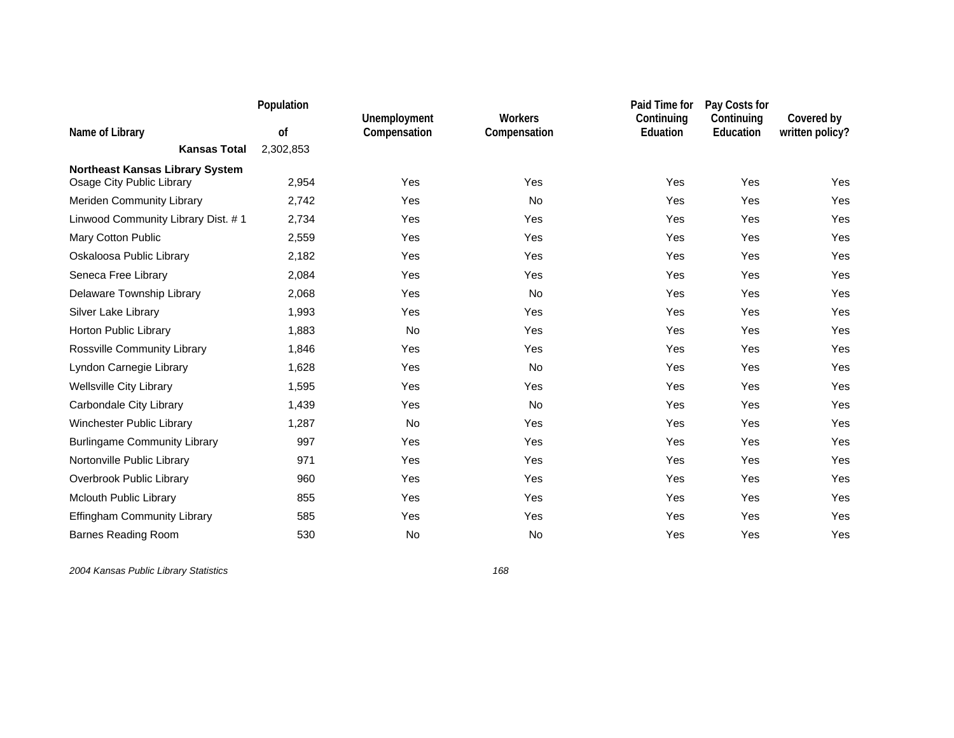|                                        | Population |                              |                                | Paid Time for                 | Pay Costs for           |                               |
|----------------------------------------|------------|------------------------------|--------------------------------|-------------------------------|-------------------------|-------------------------------|
| Name of Library                        | of         | Unemployment<br>Compensation | <b>Workers</b><br>Compensation | Continuing<br><b>Eduation</b> | Continuing<br>Education | Covered by<br>written policy? |
| <b>Kansas Total</b>                    | 2,302,853  |                              |                                |                               |                         |                               |
| <b>Northeast Kansas Library System</b> |            |                              |                                |                               |                         |                               |
| Osage City Public Library              | 2,954      | Yes                          | Yes                            | Yes                           | Yes                     | Yes                           |
| Meriden Community Library              | 2,742      | Yes                          | No                             | Yes                           | Yes                     | Yes                           |
| Linwood Community Library Dist. #1     | 2,734      | Yes                          | Yes                            | Yes                           | Yes                     | Yes                           |
| Mary Cotton Public                     | 2,559      | Yes                          | Yes                            | Yes                           | Yes                     | Yes                           |
| Oskaloosa Public Library               | 2,182      | Yes                          | Yes                            | Yes                           | Yes                     | Yes                           |
| Seneca Free Library                    | 2,084      | Yes                          | Yes                            | Yes                           | Yes                     | Yes                           |
| Delaware Township Library              | 2,068      | Yes                          | No                             | Yes                           | Yes                     | Yes                           |
| Silver Lake Library                    | 1,993      | Yes                          | Yes                            | Yes                           | Yes                     | <b>Yes</b>                    |
| Horton Public Library                  | 1,883      | <b>No</b>                    | Yes                            | Yes                           | Yes                     | Yes                           |
| Rossville Community Library            | 1,846      | Yes                          | Yes                            | Yes                           | Yes                     | Yes                           |
| Lyndon Carnegie Library                | 1,628      | Yes                          | No                             | Yes                           | Yes                     | Yes                           |
| <b>Wellsville City Library</b>         | 1,595      | Yes                          | Yes                            | Yes                           | Yes                     | Yes                           |
| Carbondale City Library                | 1,439      | Yes                          | <b>No</b>                      | Yes                           | Yes                     | Yes                           |
| Winchester Public Library              | 1,287      | <b>No</b>                    | Yes                            | Yes                           | Yes                     | Yes                           |
| <b>Burlingame Community Library</b>    | 997        | Yes                          | Yes                            | Yes                           | Yes                     | <b>Yes</b>                    |
| Nortonville Public Library             | 971        | Yes                          | Yes                            | Yes                           | Yes                     | Yes                           |
| Overbrook Public Library               | 960        | Yes                          | Yes                            | Yes                           | Yes                     | Yes                           |
| Mclouth Public Library                 | 855        | Yes                          | Yes                            | Yes                           | Yes                     | Yes                           |
| <b>Effingham Community Library</b>     | 585        | Yes                          | Yes                            | Yes                           | Yes                     | Yes                           |
| Barnes Reading Room                    | 530        | No                           | No                             | Yes                           | Yes                     | Yes                           |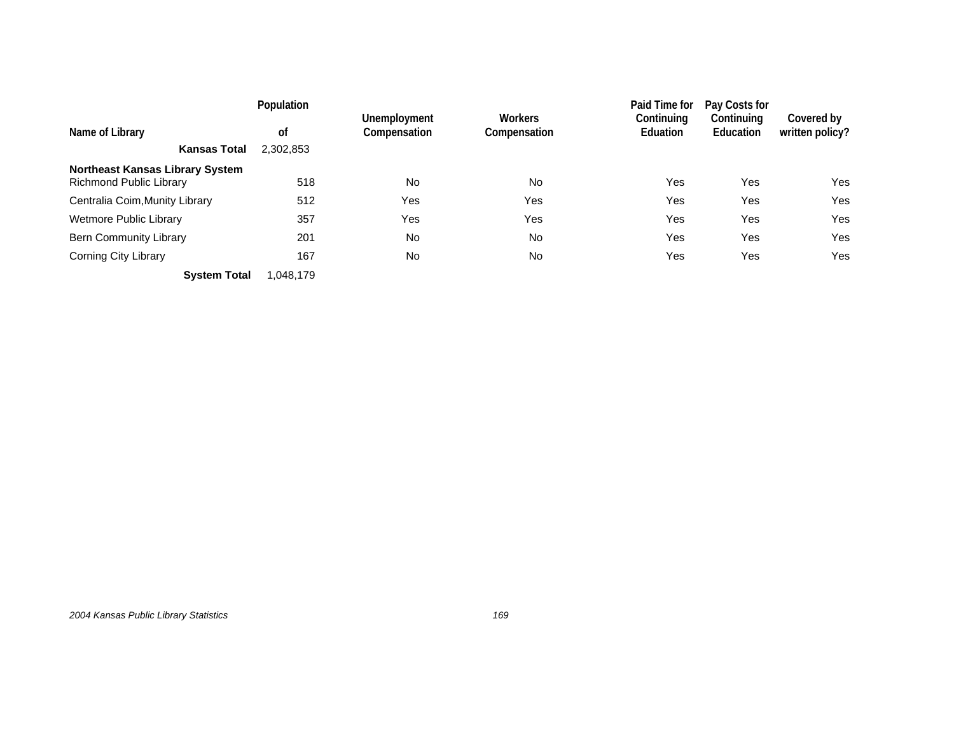|                                                                          | Population      |                              |                         | Paid Time for          | Pay Costs for           |                               |
|--------------------------------------------------------------------------|-----------------|------------------------------|-------------------------|------------------------|-------------------------|-------------------------------|
| Name of Library<br><b>Kansas Total</b>                                   | 0f<br>2,302,853 | Unemployment<br>Compensation | Workers<br>Compensation | Continuing<br>Eduation | Continuing<br>Education | Covered by<br>written policy? |
|                                                                          |                 |                              |                         |                        |                         |                               |
| <b>Northeast Kansas Library System</b><br><b>Richmond Public Library</b> | 518             | No                           | <b>No</b>               | Yes                    | Yes                     | Yes                           |
| Centralia Coim, Munity Library                                           | 512             | Yes                          | Yes                     | Yes                    | Yes                     | Yes                           |
| Wetmore Public Library                                                   | 357             | Yes                          | Yes                     | Yes                    | Yes                     | Yes                           |
| <b>Bern Community Library</b>                                            | 201             | No                           | <b>No</b>               | Yes                    | Yes                     | Yes                           |
| Corning City Library                                                     | 167             | No                           | <b>No</b>               | Yes                    | Yes                     | Yes                           |
| <b>System Total</b>                                                      | 1.048.179       |                              |                         |                        |                         |                               |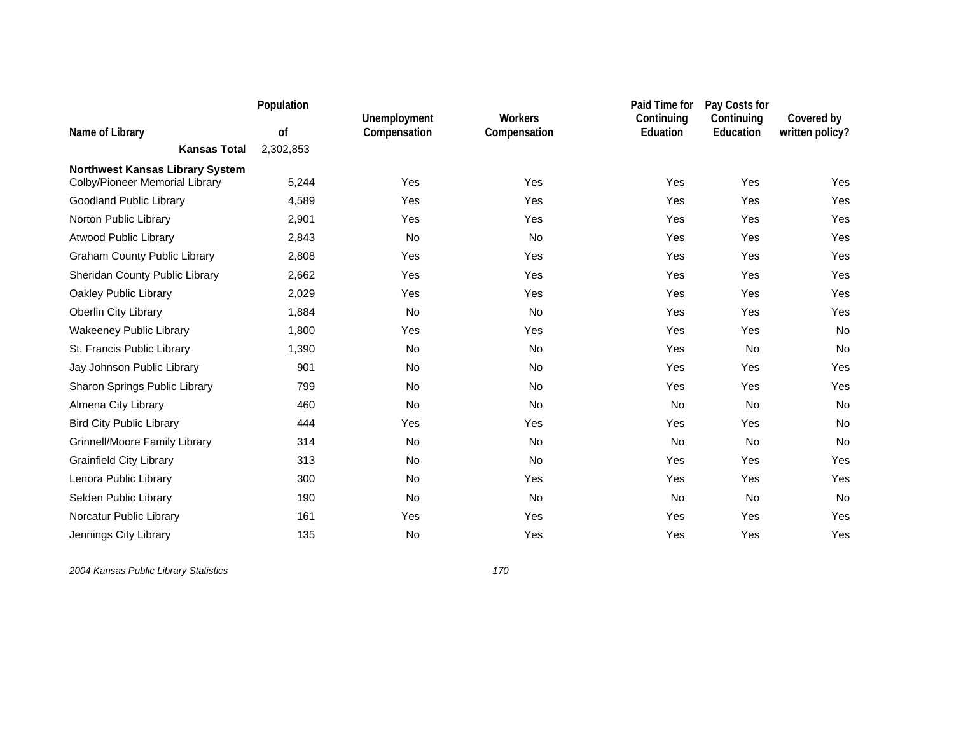|                                        | Population |                              |                                | Paid Time for          | Pay Costs for           |                               |
|----------------------------------------|------------|------------------------------|--------------------------------|------------------------|-------------------------|-------------------------------|
| Name of Library                        | of         | Unemployment<br>Compensation | <b>Workers</b><br>Compensation | Continuing<br>Eduation | Continuing<br>Education | Covered by<br>written policy? |
| <b>Kansas Total</b>                    | 2,302,853  |                              |                                |                        |                         |                               |
| <b>Northwest Kansas Library System</b> |            |                              |                                |                        |                         |                               |
| Colby/Pioneer Memorial Library         | 5,244      | Yes                          | Yes                            | Yes                    | Yes                     | Yes                           |
| Goodland Public Library                | 4,589      | Yes                          | Yes                            | Yes                    | Yes                     | Yes                           |
| Norton Public Library                  | 2,901      | Yes                          | Yes                            | Yes                    | Yes                     | Yes                           |
| <b>Atwood Public Library</b>           | 2,843      | <b>No</b>                    | <b>No</b>                      | Yes                    | Yes                     | Yes                           |
| <b>Graham County Public Library</b>    | 2,808      | Yes                          | Yes                            | Yes                    | Yes                     | Yes                           |
| Sheridan County Public Library         | 2,662      | Yes                          | Yes                            | Yes                    | Yes                     | Yes                           |
| Oakley Public Library                  | 2,029      | Yes                          | Yes                            | Yes                    | Yes                     | Yes                           |
| <b>Oberlin City Library</b>            | 1,884      | <b>No</b>                    | No                             | Yes                    | Yes                     | Yes                           |
| <b>Wakeeney Public Library</b>         | 1,800      | Yes                          | Yes                            | Yes                    | Yes                     | No                            |
| St. Francis Public Library             | 1,390      | No                           | No                             | Yes                    | No                      | No                            |
| Jay Johnson Public Library             | 901        | No                           | <b>No</b>                      | Yes                    | Yes                     | Yes                           |
| Sharon Springs Public Library          | 799        | <b>No</b>                    | No                             | Yes                    | Yes                     | Yes                           |
| Almena City Library                    | 460        | <b>No</b>                    | <b>No</b>                      | <b>No</b>              | <b>No</b>               | No                            |
| <b>Bird City Public Library</b>        | 444        | Yes                          | Yes                            | Yes                    | Yes                     | No                            |
| <b>Grinnell/Moore Family Library</b>   | 314        | No                           | <b>No</b>                      | <b>No</b>              | <b>No</b>               | No                            |
| <b>Grainfield City Library</b>         | 313        | No                           | No                             | Yes                    | Yes                     | Yes                           |
| Lenora Public Library                  | 300        | No                           | Yes                            | Yes                    | Yes                     | Yes                           |
| Selden Public Library                  | 190        | No                           | No                             | No                     | <b>No</b>               | No                            |
| Norcatur Public Library                | 161        | Yes                          | Yes                            | Yes                    | Yes                     | Yes                           |
| Jennings City Library                  | 135        | No                           | Yes                            | Yes                    | Yes                     | Yes                           |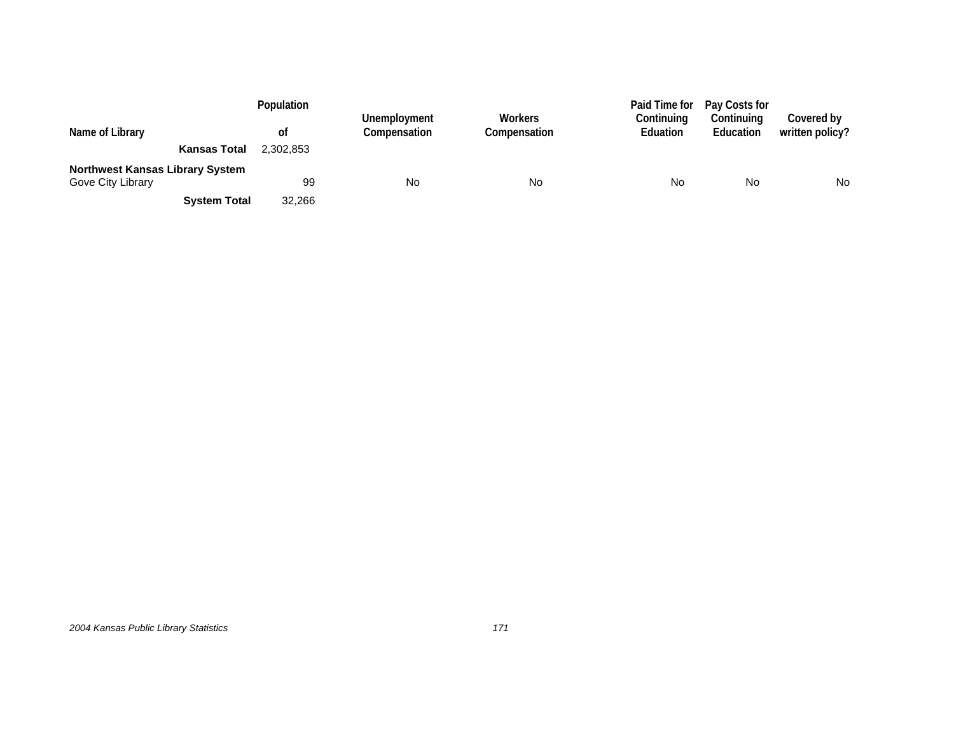|                                                             | Population |                              |                         | Paid Time for                 | Pay Costs for           |                               |
|-------------------------------------------------------------|------------|------------------------------|-------------------------|-------------------------------|-------------------------|-------------------------------|
| Name of Library                                             | 0t         | Unemployment<br>Compensation | Workers<br>Compensation | Continuing<br><b>Eduation</b> | Continuing<br>Education | Covered by<br>written policy? |
| <b>Kansas Total</b>                                         | 2.302.853  |                              |                         |                               |                         |                               |
| <b>Northwest Kansas Library System</b><br>Gove City Library | 99         | No                           | No                      | No                            | No                      | <b>No</b>                     |
|                                                             |            |                              |                         |                               |                         |                               |
| <b>System Total</b>                                         | 32.266     |                              |                         |                               |                         |                               |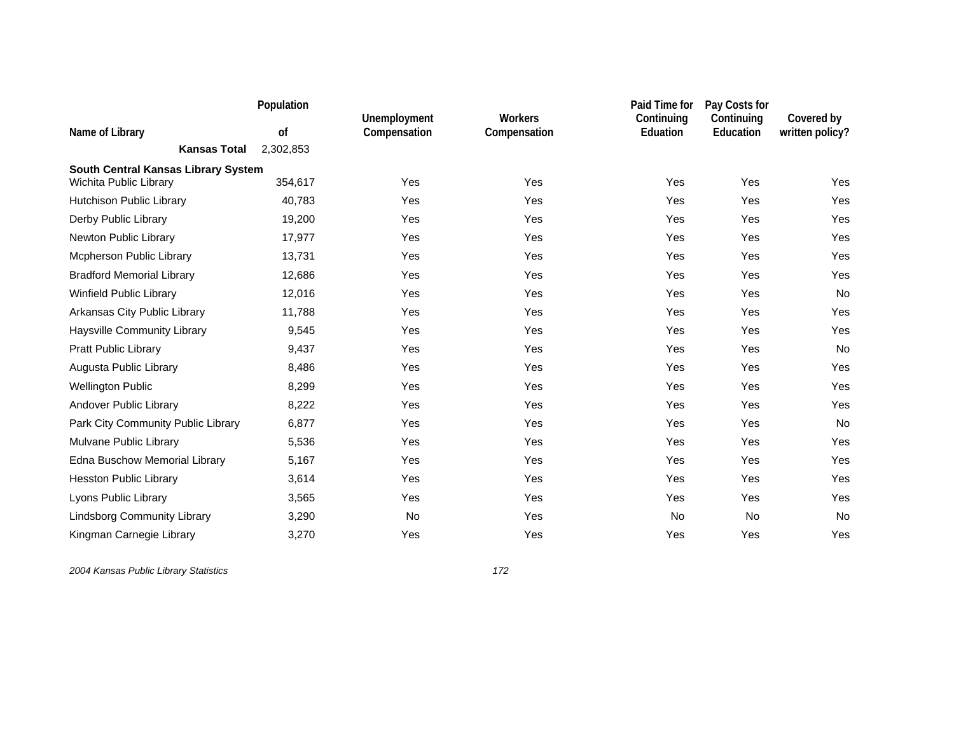|                                     | Population | Unemployment | <b>Workers</b> | Paid Time for<br>Continuing | Pay Costs for<br>Continuing | Covered by      |
|-------------------------------------|------------|--------------|----------------|-----------------------------|-----------------------------|-----------------|
| Name of Library                     | of         | Compensation | Compensation   | Eduation                    | Education                   | written policy? |
| <b>Kansas Total</b>                 | 2,302,853  |              |                |                             |                             |                 |
| South Central Kansas Library System |            |              |                |                             |                             |                 |
| Wichita Public Library              | 354,617    | Yes          | Yes            | Yes                         | Yes                         | Yes             |
| Hutchison Public Library            | 40,783     | Yes          | Yes            | Yes                         | Yes                         | Yes             |
| Derby Public Library                | 19,200     | Yes          | Yes            | Yes                         | Yes                         | Yes             |
| Newton Public Library               | 17,977     | Yes          | Yes            | Yes                         | Yes                         | Yes             |
| Mcpherson Public Library            | 13,731     | Yes          | Yes            | Yes                         | Yes                         | Yes             |
| <b>Bradford Memorial Library</b>    | 12,686     | Yes          | Yes            | Yes                         | Yes                         | Yes             |
| <b>Winfield Public Library</b>      | 12,016     | Yes          | Yes            | Yes                         | Yes                         | No              |
| Arkansas City Public Library        | 11,788     | Yes          | Yes            | Yes                         | Yes                         | Yes             |
| Haysville Community Library         | 9,545      | Yes          | Yes            | Yes                         | Yes                         | Yes             |
| <b>Pratt Public Library</b>         | 9,437      | Yes          | Yes            | Yes                         | Yes                         | No              |
| Augusta Public Library              | 8,486      | Yes          | Yes            | Yes                         | Yes                         | Yes             |
| <b>Wellington Public</b>            | 8,299      | Yes          | Yes            | Yes                         | Yes                         | Yes             |
| Andover Public Library              | 8,222      | Yes          | Yes            | Yes                         | Yes                         | Yes             |
| Park City Community Public Library  | 6,877      | Yes          | Yes            | Yes                         | Yes                         | No              |
| Mulvane Public Library              | 5,536      | Yes          | Yes            | Yes                         | Yes                         | Yes             |
| Edna Buschow Memorial Library       | 5,167      | Yes          | Yes            | Yes                         | Yes                         | Yes             |
| <b>Hesston Public Library</b>       | 3,614      | Yes          | Yes            | Yes                         | Yes                         | Yes             |
| Lyons Public Library                | 3,565      | Yes          | Yes            | Yes                         | Yes                         | Yes             |
| <b>Lindsborg Community Library</b>  | 3,290      | No           | Yes            | <b>No</b>                   | <b>No</b>                   | No              |
| Kingman Carnegie Library            | 3,270      | Yes          | Yes            | Yes                         | Yes                         | Yes             |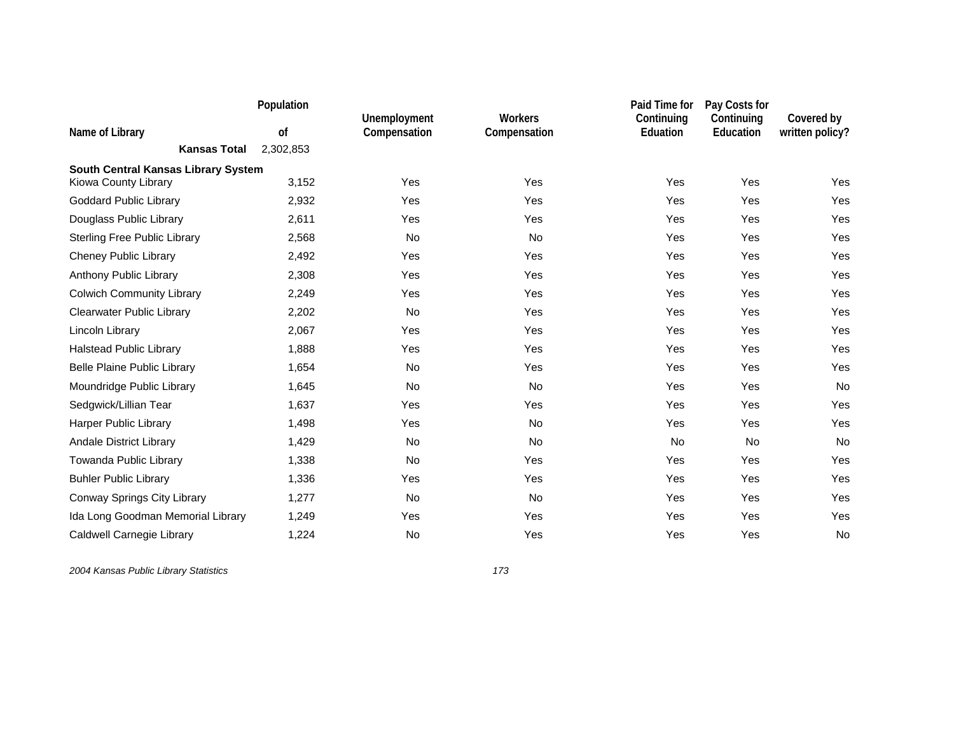|                                     | Population |                              |                                | Paid Time for          | Pay Costs for           |                               |
|-------------------------------------|------------|------------------------------|--------------------------------|------------------------|-------------------------|-------------------------------|
| Name of Library                     | οf         | Unemployment<br>Compensation | <b>Workers</b><br>Compensation | Continuing<br>Eduation | Continuing<br>Education | Covered by<br>written policy? |
| <b>Kansas Total</b>                 | 2,302,853  |                              |                                |                        |                         |                               |
| South Central Kansas Library System |            |                              |                                |                        |                         |                               |
| Kiowa County Library                | 3,152      | Yes                          | Yes                            | Yes                    | Yes                     | Yes                           |
| <b>Goddard Public Library</b>       | 2,932      | Yes                          | Yes                            | Yes                    | Yes                     | Yes                           |
| Douglass Public Library             | 2,611      | Yes                          | Yes                            | Yes                    | Yes                     | Yes                           |
| <b>Sterling Free Public Library</b> | 2,568      | No                           | No                             | Yes                    | Yes                     | Yes                           |
| <b>Cheney Public Library</b>        | 2,492      | Yes                          | Yes                            | Yes                    | Yes                     | Yes                           |
| Anthony Public Library              | 2,308      | Yes                          | Yes                            | Yes                    | Yes                     | Yes                           |
| <b>Colwich Community Library</b>    | 2,249      | Yes                          | Yes                            | Yes                    | Yes                     | Yes                           |
| <b>Clearwater Public Library</b>    | 2,202      | No                           | Yes                            | Yes                    | Yes                     | Yes                           |
| Lincoln Library                     | 2,067      | Yes                          | Yes                            | Yes                    | Yes                     | Yes                           |
| <b>Halstead Public Library</b>      | 1,888      | Yes                          | Yes                            | Yes                    | Yes                     | Yes                           |
| <b>Belle Plaine Public Library</b>  | 1,654      | No                           | Yes                            | Yes                    | Yes                     | Yes                           |
| Moundridge Public Library           | 1,645      | No                           | No                             | Yes                    | Yes                     | No                            |
| Sedgwick/Lillian Tear               | 1,637      | Yes                          | Yes                            | Yes                    | Yes                     | Yes                           |
| Harper Public Library               | 1,498      | Yes                          | No                             | Yes                    | Yes                     | Yes                           |
| Andale District Library             | 1,429      | No                           | No                             | No                     | <b>No</b>               | No                            |
| Towanda Public Library              | 1,338      | No                           | Yes                            | Yes                    | Yes                     | Yes                           |
| <b>Buhler Public Library</b>        | 1,336      | Yes                          | Yes                            | Yes                    | Yes                     | Yes                           |
| Conway Springs City Library         | 1,277      | No                           | No                             | Yes                    | Yes                     | Yes                           |
| Ida Long Goodman Memorial Library   | 1,249      | Yes                          | Yes                            | Yes                    | Yes                     | Yes                           |
| Caldwell Carnegie Library           | 1,224      | No                           | Yes                            | Yes                    | Yes                     | No                            |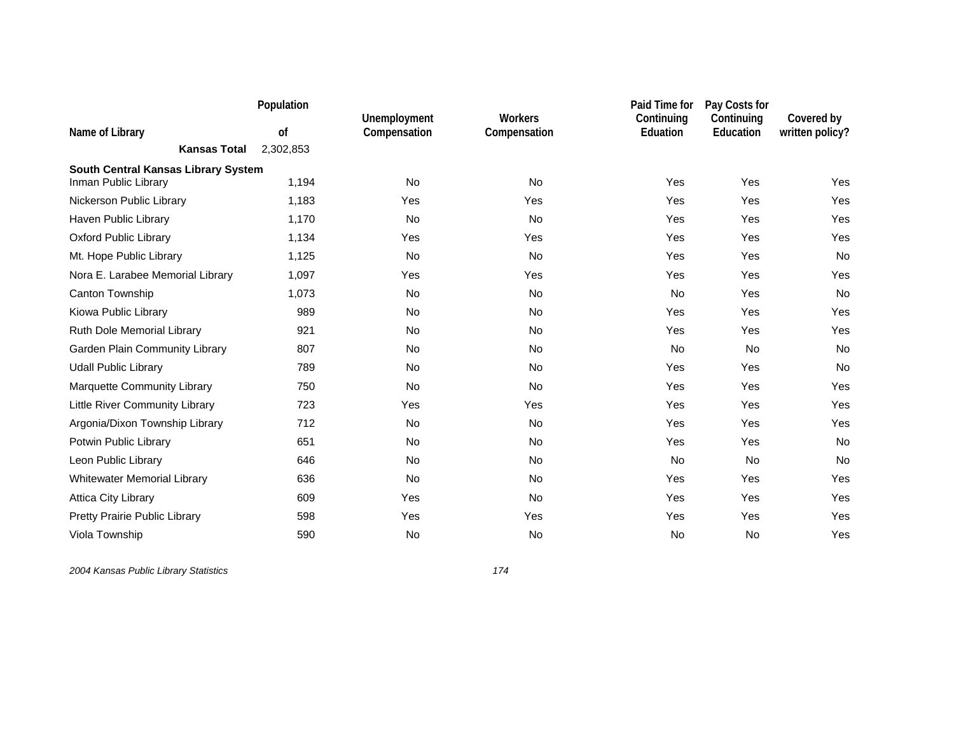|                                     | Population |                              |                                | Paid Time for                 | Pay Costs for           |                               |
|-------------------------------------|------------|------------------------------|--------------------------------|-------------------------------|-------------------------|-------------------------------|
| Name of Library                     | of         | Unemployment<br>Compensation | <b>Workers</b><br>Compensation | Continuing<br><b>Eduation</b> | Continuing<br>Education | Covered by<br>written policy? |
| <b>Kansas Total</b>                 | 2,302,853  |                              |                                |                               |                         |                               |
| South Central Kansas Library System |            |                              |                                |                               |                         |                               |
| Inman Public Library                | 1,194      | <b>No</b>                    | No                             | Yes                           | Yes                     | Yes                           |
| Nickerson Public Library            | 1,183      | Yes                          | Yes                            | Yes                           | Yes                     | Yes                           |
| Haven Public Library                | 1,170      | <b>No</b>                    | <b>No</b>                      | Yes                           | Yes                     | Yes                           |
| <b>Oxford Public Library</b>        | 1,134      | Yes                          | Yes                            | Yes                           | Yes                     | Yes                           |
| Mt. Hope Public Library             | 1,125      | No                           | No                             | Yes                           | Yes                     | No                            |
| Nora E. Larabee Memorial Library    | 1,097      | Yes                          | Yes                            | Yes                           | Yes                     | Yes                           |
| Canton Township                     | 1,073      | <b>No</b>                    | <b>No</b>                      | <b>No</b>                     | Yes                     | No                            |
| Kiowa Public Library                | 989        | No                           | No                             | Yes                           | Yes                     | Yes                           |
| Ruth Dole Memorial Library          | 921        | No                           | No                             | Yes                           | Yes                     | Yes                           |
| Garden Plain Community Library      | 807        | No                           | No                             | No                            | <b>No</b>               | No                            |
| <b>Udall Public Library</b>         | 789        | <b>No</b>                    | <b>No</b>                      | Yes                           | Yes                     | <b>No</b>                     |
| <b>Marquette Community Library</b>  | 750        | No                           | No                             | Yes                           | Yes                     | Yes                           |
| Little River Community Library      | 723        | Yes                          | Yes                            | Yes                           | Yes                     | Yes                           |
| Argonia/Dixon Township Library      | 712        | No                           | No                             | Yes                           | Yes                     | Yes                           |
| Potwin Public Library               | 651        | No                           | No                             | Yes                           | Yes                     | No                            |
| Leon Public Library                 | 646        | <b>No</b>                    | <b>No</b>                      | <b>No</b>                     | <b>No</b>               | No                            |
| <b>Whitewater Memorial Library</b>  | 636        | <b>No</b>                    | <b>No</b>                      | Yes                           | Yes                     | Yes                           |
| <b>Attica City Library</b>          | 609        | Yes                          | No                             | Yes                           | Yes                     | Yes                           |
| Pretty Prairie Public Library       | 598        | Yes                          | Yes                            | Yes                           | Yes                     | Yes                           |
| Viola Township                      | 590        | No                           | No                             | <b>No</b>                     | <b>No</b>               | Yes                           |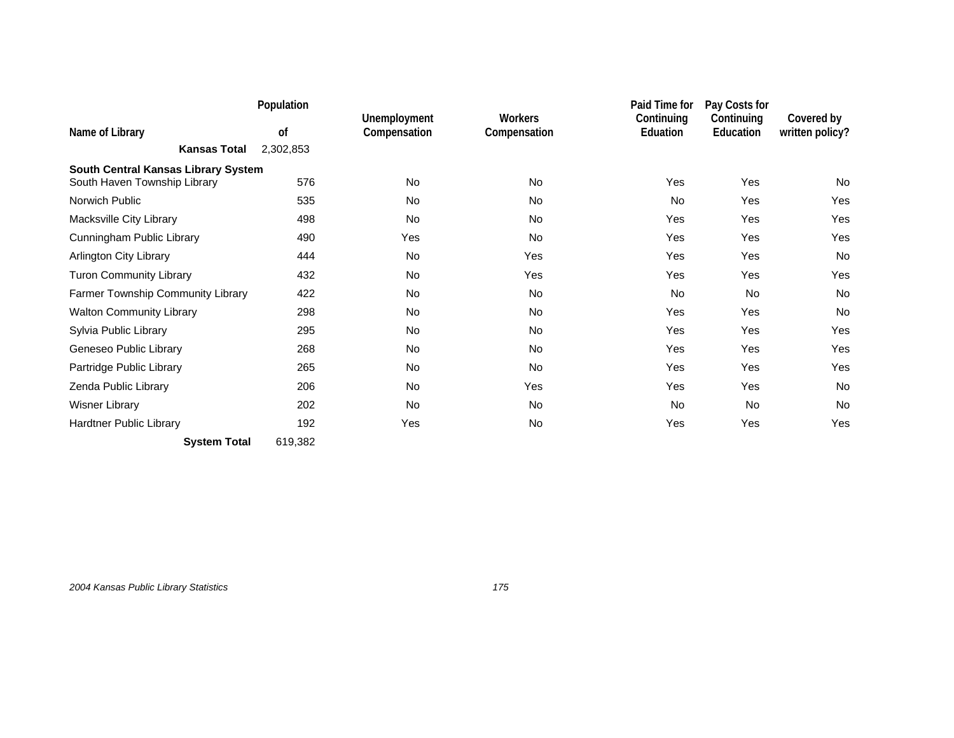|                                     | Population    |                              |                                | Paid Time for          | Pay Costs for           |                               |
|-------------------------------------|---------------|------------------------------|--------------------------------|------------------------|-------------------------|-------------------------------|
| Name of Library                     | <sub>of</sub> | Unemployment<br>Compensation | <b>Workers</b><br>Compensation | Continuing<br>Eduation | Continuing<br>Education | Covered by<br>written policy? |
| <b>Kansas Total</b>                 | 2,302,853     |                              |                                |                        |                         |                               |
| South Central Kansas Library System |               |                              |                                |                        |                         |                               |
| South Haven Township Library        | 576           | <b>No</b>                    | <b>No</b>                      | Yes                    | Yes                     | No                            |
| Norwich Public                      | 535           | No                           | No                             | <b>No</b>              | Yes                     | Yes                           |
| Macksville City Library             | 498           | No                           | <b>No</b>                      | Yes                    | Yes                     | Yes                           |
| Cunningham Public Library           | 490           | Yes                          | No                             | Yes                    | Yes                     | Yes                           |
| <b>Arlington City Library</b>       | 444           | <b>No</b>                    | <b>Yes</b>                     | Yes                    | Yes                     | No                            |
| <b>Turon Community Library</b>      | 432           | <b>No</b>                    | Yes                            | Yes                    | Yes                     | Yes                           |
| Farmer Township Community Library   | 422           | No                           | <b>No</b>                      | <b>No</b>              | <b>No</b>               | No                            |
| <b>Walton Community Library</b>     | 298           | <b>No</b>                    | <b>No</b>                      | Yes                    | Yes                     | <b>No</b>                     |
| Sylvia Public Library               | 295           | <b>No</b>                    | <b>No</b>                      | Yes                    | Yes                     | Yes                           |
| Geneseo Public Library              | 268           | No                           | <b>No</b>                      | Yes                    | Yes                     | Yes                           |
| Partridge Public Library            | 265           | No                           | No                             | Yes                    | Yes                     | Yes                           |
| Zenda Public Library                | 206           | <b>No</b>                    | Yes                            | Yes                    | Yes                     | <b>No</b>                     |
| Wisner Library                      | 202           | No                           | No                             | <b>No</b>              | <b>No</b>               | No                            |
| Hardtner Public Library             | 192           | Yes                          | No                             | Yes                    | Yes                     | Yes                           |
| <b>System Total</b>                 | 619,382       |                              |                                |                        |                         |                               |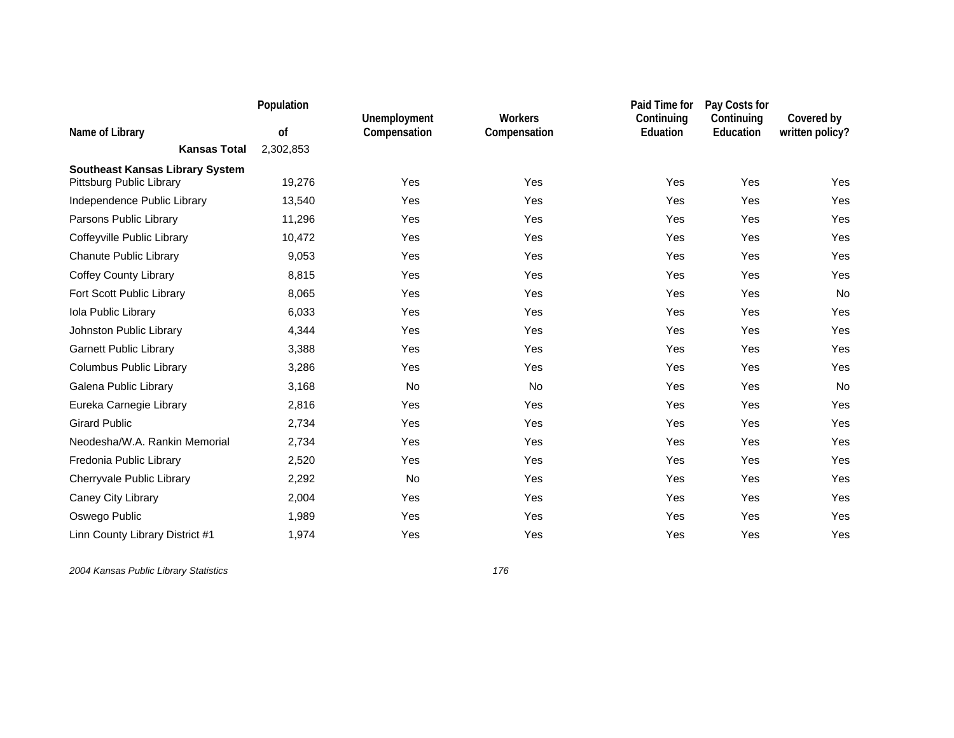|                                        | Population |                              |                                | Paid Time for                 | Pay Costs for           |                               |
|----------------------------------------|------------|------------------------------|--------------------------------|-------------------------------|-------------------------|-------------------------------|
| Name of Library                        | of         | Unemployment<br>Compensation | <b>Workers</b><br>Compensation | Continuing<br><b>Eduation</b> | Continuing<br>Education | Covered by<br>written policy? |
| <b>Kansas Total</b>                    | 2,302,853  |                              |                                |                               |                         |                               |
| <b>Southeast Kansas Library System</b> |            |                              |                                |                               |                         |                               |
| Pittsburg Public Library               | 19,276     | Yes                          | Yes                            | Yes                           | Yes                     | Yes                           |
| Independence Public Library            | 13,540     | Yes                          | Yes                            | Yes                           | Yes                     | Yes                           |
| Parsons Public Library                 | 11,296     | Yes                          | Yes                            | Yes                           | Yes                     | Yes                           |
| Coffeyville Public Library             | 10,472     | Yes                          | Yes                            | Yes                           | Yes                     | Yes                           |
| <b>Chanute Public Library</b>          | 9,053      | Yes                          | Yes                            | Yes                           | Yes                     | Yes                           |
| <b>Coffey County Library</b>           | 8,815      | Yes                          | Yes                            | Yes                           | Yes                     | Yes                           |
| Fort Scott Public Library              | 8,065      | Yes                          | Yes                            | Yes                           | Yes                     | No                            |
| Iola Public Library                    | 6,033      | Yes                          | Yes                            | Yes                           | Yes                     | Yes                           |
| Johnston Public Library                | 4,344      | Yes                          | Yes                            | Yes                           | Yes                     | Yes                           |
| <b>Garnett Public Library</b>          | 3,388      | Yes                          | Yes                            | Yes                           | Yes                     | Yes                           |
| Columbus Public Library                | 3,286      | Yes                          | Yes                            | Yes                           | Yes                     | Yes                           |
| Galena Public Library                  | 3,168      | No                           | No                             | Yes                           | Yes                     | No                            |
| Eureka Carnegie Library                | 2,816      | Yes                          | Yes                            | Yes                           | Yes                     | Yes                           |
| <b>Girard Public</b>                   | 2,734      | Yes                          | Yes                            | Yes                           | Yes                     | Yes                           |
| Neodesha/W.A. Rankin Memorial          | 2,734      | Yes                          | Yes                            | Yes                           | Yes                     | Yes                           |
| Fredonia Public Library                | 2,520      | Yes                          | Yes                            | Yes                           | Yes                     | Yes                           |
| Cherryvale Public Library              | 2,292      | No                           | Yes                            | Yes                           | Yes                     | Yes                           |
| Caney City Library                     | 2,004      | Yes                          | Yes                            | Yes                           | Yes                     | Yes                           |
| Oswego Public                          | 1,989      | Yes                          | Yes                            | Yes                           | Yes                     | Yes                           |
| Linn County Library District #1        | 1,974      | Yes                          | Yes                            | Yes                           | Yes                     | Yes                           |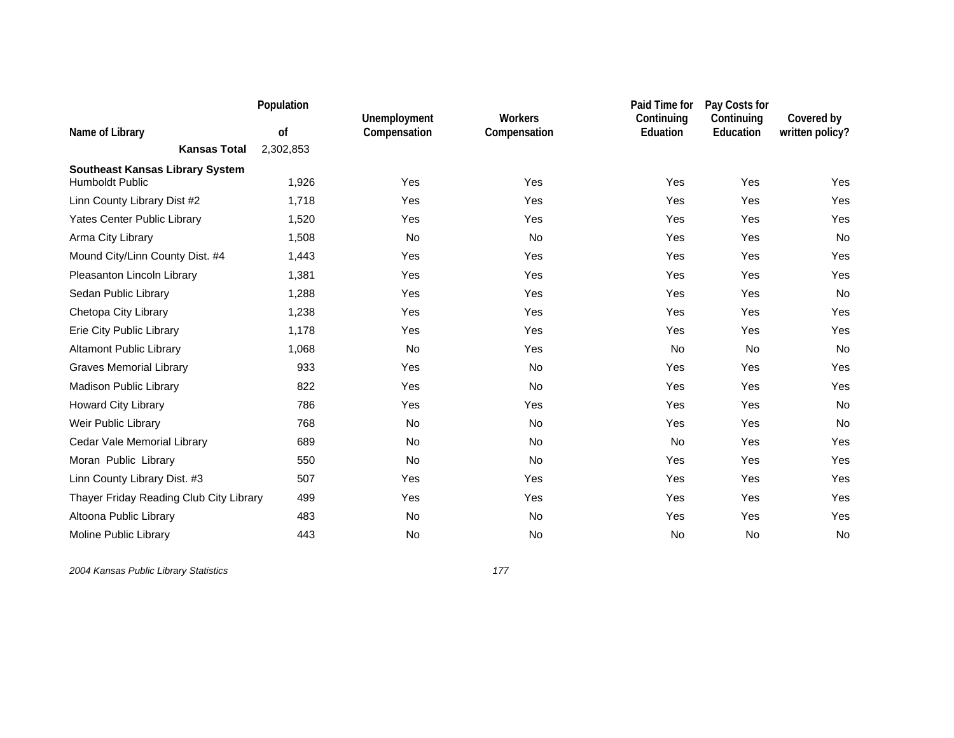|                                         | Population |                              |                                | Paid Time for                 | Pay Costs for           |                               |
|-----------------------------------------|------------|------------------------------|--------------------------------|-------------------------------|-------------------------|-------------------------------|
| Name of Library                         | of         | Unemployment<br>Compensation | <b>Workers</b><br>Compensation | Continuing<br><b>Eduation</b> | Continuing<br>Education | Covered by<br>written policy? |
| <b>Kansas Total</b>                     | 2,302,853  |                              |                                |                               |                         |                               |
| <b>Southeast Kansas Library System</b>  |            |                              |                                |                               |                         |                               |
| <b>Humboldt Public</b>                  | 1,926      | Yes                          | Yes                            | Yes                           | Yes                     | Yes                           |
| Linn County Library Dist #2             | 1,718      | Yes                          | Yes                            | Yes                           | Yes                     | Yes                           |
| Yates Center Public Library             | 1,520      | Yes                          | Yes                            | Yes                           | Yes                     | Yes                           |
| Arma City Library                       | 1,508      | No                           | No                             | Yes                           | Yes                     | No                            |
| Mound City/Linn County Dist. #4         | 1,443      | Yes                          | Yes                            | Yes                           | Yes                     | Yes                           |
| Pleasanton Lincoln Library              | 1,381      | Yes                          | Yes                            | Yes                           | Yes                     | Yes                           |
| Sedan Public Library                    | 1,288      | Yes                          | Yes                            | Yes                           | Yes                     | No                            |
| Chetopa City Library                    | 1,238      | Yes                          | Yes                            | Yes                           | Yes                     | Yes                           |
| Erie City Public Library                | 1,178      | Yes                          | Yes                            | Yes                           | Yes                     | Yes                           |
| <b>Altamont Public Library</b>          | 1,068      | No                           | Yes                            | No                            | <b>No</b>               | No                            |
| <b>Graves Memorial Library</b>          | 933        | Yes                          | <b>No</b>                      | Yes                           | Yes                     | Yes                           |
| <b>Madison Public Library</b>           | 822        | Yes                          | No                             | Yes                           | Yes                     | Yes                           |
| Howard City Library                     | 786        | Yes                          | Yes                            | Yes                           | Yes                     | No                            |
| Weir Public Library                     | 768        | No                           | No                             | Yes                           | Yes                     | No                            |
| Cedar Vale Memorial Library             | 689        | No                           | No                             | No                            | Yes                     | Yes                           |
| Moran Public Library                    | 550        | <b>No</b>                    | <b>No</b>                      | Yes                           | Yes                     | Yes                           |
| Linn County Library Dist. #3            | 507        | Yes                          | Yes                            | Yes                           | Yes                     | Yes                           |
| Thayer Friday Reading Club City Library | 499        | Yes                          | Yes                            | Yes                           | Yes                     | Yes                           |
| Altoona Public Library                  | 483        | No                           | No                             | Yes                           | Yes                     | Yes                           |
| Moline Public Library                   | 443        | No                           | No                             | <b>No</b>                     | <b>No</b>               | No                            |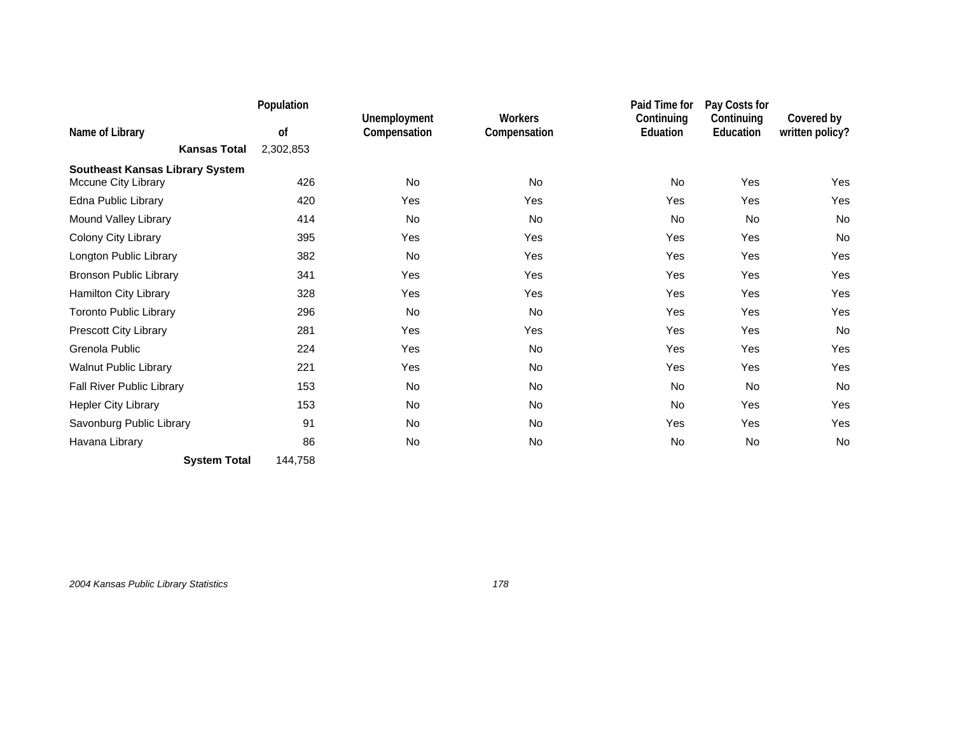|                                                               | Population |                              |                         | Paid Time for          | Pay Costs for           |                               |
|---------------------------------------------------------------|------------|------------------------------|-------------------------|------------------------|-------------------------|-------------------------------|
| Name of Library                                               | of         | Unemployment<br>Compensation | Workers<br>Compensation | Continuing<br>Eduation | Continuing<br>Education | Covered by<br>written policy? |
| <b>Kansas Total</b>                                           | 2,302,853  |                              |                         |                        |                         |                               |
|                                                               |            |                              |                         |                        |                         |                               |
| <b>Southeast Kansas Library System</b><br>Mccune City Library | 426        | <b>No</b>                    | <b>No</b>               | <b>No</b>              | Yes                     | Yes                           |
| Edna Public Library                                           | 420        | Yes                          | Yes                     | Yes                    | Yes                     | Yes                           |
| Mound Valley Library                                          | 414        | <b>No</b>                    | <b>No</b>               | <b>No</b>              | <b>No</b>               | <b>No</b>                     |
| Colony City Library                                           | 395        | Yes                          | Yes                     | Yes                    | Yes                     | No                            |
| Longton Public Library                                        | 382        | No                           | Yes                     | Yes                    | Yes                     | Yes                           |
| <b>Bronson Public Library</b>                                 | 341        | Yes                          | Yes                     | Yes                    | Yes                     | Yes                           |
| Hamilton City Library                                         | 328        | Yes                          | Yes                     | Yes                    | Yes                     | Yes                           |
| <b>Toronto Public Library</b>                                 | 296        | No                           | No                      | Yes                    | Yes                     | Yes                           |
| Prescott City Library                                         | 281        | Yes                          | Yes                     | Yes                    | Yes                     | No                            |
| Grenola Public                                                | 224        | Yes                          | No                      | Yes                    | Yes                     | Yes                           |
| Walnut Public Library                                         | 221        | Yes                          | No                      | Yes                    | Yes                     | Yes                           |
| Fall River Public Library                                     | 153        | No                           | No                      | No                     | <b>No</b>               | No                            |
| <b>Hepler City Library</b>                                    | 153        | No                           | No                      | No                     | Yes                     | Yes                           |
| Savonburg Public Library                                      | 91         | No                           | <b>No</b>               | Yes                    | Yes                     | <b>Yes</b>                    |
| Havana Library                                                | 86         | No                           | No                      | No                     | No                      | No                            |
| <b>System Total</b>                                           | 144,758    |                              |                         |                        |                         |                               |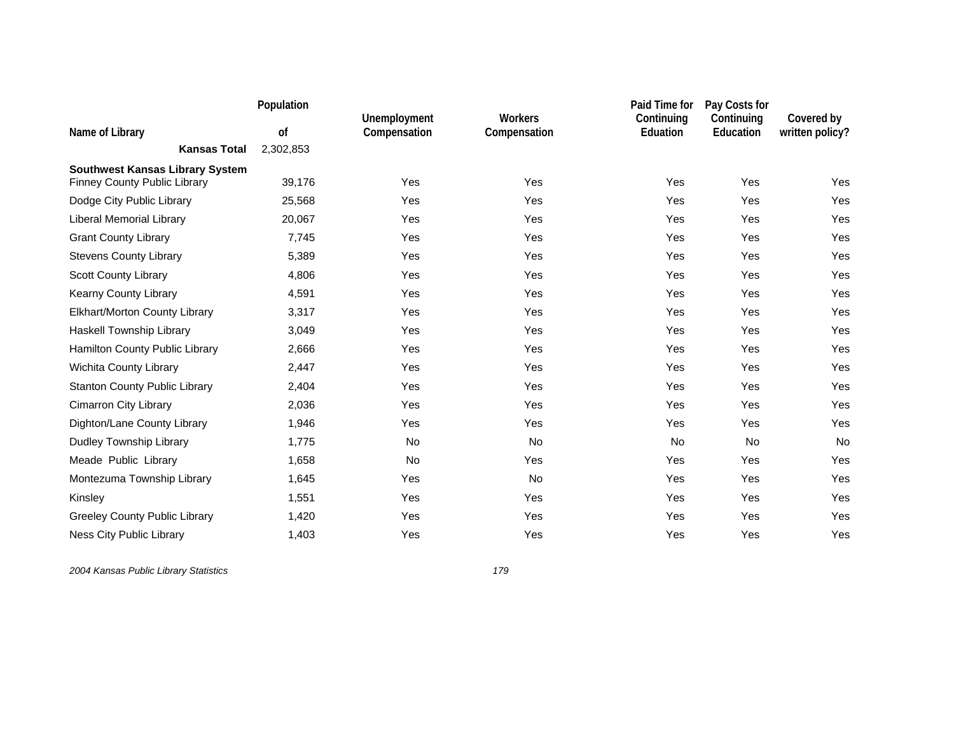|                                        | Population |                              |                                | Paid Time for                 | Pay Costs for           |                               |
|----------------------------------------|------------|------------------------------|--------------------------------|-------------------------------|-------------------------|-------------------------------|
| Name of Library                        | of         | Unemployment<br>Compensation | <b>Workers</b><br>Compensation | Continuing<br><b>Eduation</b> | Continuing<br>Education | Covered by<br>written policy? |
| <b>Kansas Total</b>                    | 2,302,853  |                              |                                |                               |                         |                               |
| <b>Southwest Kansas Library System</b> |            |                              |                                |                               |                         |                               |
| <b>Finney County Public Library</b>    | 39,176     | Yes                          | Yes                            | Yes                           | Yes                     | Yes                           |
| Dodge City Public Library              | 25,568     | Yes                          | Yes                            | Yes                           | Yes                     | Yes                           |
| Liberal Memorial Library               | 20,067     | Yes                          | Yes                            | Yes                           | Yes                     | Yes                           |
| <b>Grant County Library</b>            | 7,745      | Yes                          | Yes                            | Yes                           | Yes                     | Yes                           |
| <b>Stevens County Library</b>          | 5,389      | Yes                          | Yes                            | Yes                           | Yes                     | Yes                           |
| <b>Scott County Library</b>            | 4,806      | Yes                          | Yes                            | Yes                           | Yes                     | Yes                           |
| Kearny County Library                  | 4,591      | Yes                          | Yes                            | Yes                           | Yes                     | Yes                           |
| Elkhart/Morton County Library          | 3,317      | Yes                          | Yes                            | Yes                           | Yes                     | Yes                           |
| Haskell Township Library               | 3,049      | Yes                          | Yes                            | Yes                           | Yes                     | Yes                           |
| Hamilton County Public Library         | 2,666      | Yes                          | Yes                            | Yes                           | Yes                     | Yes                           |
| Wichita County Library                 | 2,447      | Yes                          | Yes                            | Yes                           | Yes                     | Yes                           |
| <b>Stanton County Public Library</b>   | 2,404      | Yes                          | Yes                            | Yes                           | Yes                     | Yes                           |
| <b>Cimarron City Library</b>           | 2,036      | Yes                          | Yes                            | Yes                           | Yes                     | Yes                           |
| Dighton/Lane County Library            | 1,946      | Yes                          | Yes                            | Yes                           | Yes                     | Yes                           |
| Dudley Township Library                | 1,775      | No                           | No                             | <b>No</b>                     | <b>No</b>               | No                            |
| Meade Public Library                   | 1,658      | No                           | Yes                            | Yes                           | Yes                     | Yes                           |
| Montezuma Township Library             | 1,645      | Yes                          | No                             | Yes                           | Yes                     | Yes                           |
| Kinsley                                | 1,551      | Yes                          | Yes                            | Yes                           | Yes                     | Yes                           |
| <b>Greeley County Public Library</b>   | 1,420      | Yes                          | Yes                            | Yes                           | Yes                     | Yes                           |
| <b>Ness City Public Library</b>        | 1,403      | Yes                          | Yes                            | Yes                           | Yes                     | Yes                           |